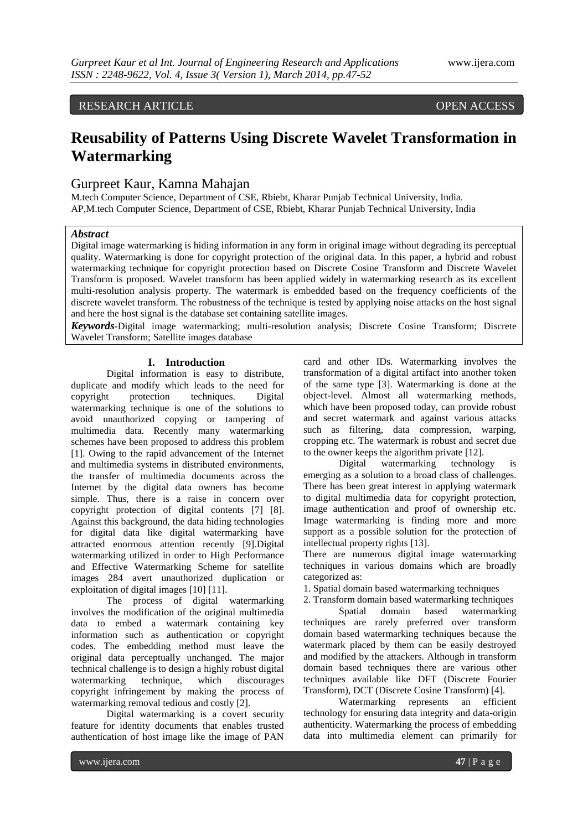# RESEARCH ARTICLE **CONSERVERS**

# **Reusability of Patterns Using Discrete Wavelet Transformation in Watermarking**

# Gurpreet Kaur, Kamna Mahajan

M.tech Computer Science, Department of CSE, Rbiebt, Kharar Punjab Technical University, India. AP,M.tech Computer Science, Department of CSE, Rbiebt, Kharar Punjab Technical University, India

## *Abstract*

Digital image watermarking is hiding information in any form in original image without degrading its perceptual quality. Watermarking is done for copyright protection of the original data. In this paper, a hybrid and robust watermarking technique for copyright protection based on Discrete Cosine Transform and Discrete Wavelet Transform is proposed. Wavelet transform has been applied widely in watermarking research as its excellent multi-resolution analysis property. The watermark is embedded based on the frequency coefficients of the discrete wavelet transform. The robustness of the technique is tested by applying noise attacks on the host signal and here the host signal is the database set containing satellite images.

*Keywords-*Digital image watermarking; multi-resolution analysis; Discrete Cosine Transform; Discrete Wavelet Transform; Satellite images database

## **I. Introduction**

Digital information is easy to distribute. duplicate and modify which leads to the need for copyright protection techniques. Digital watermarking technique is one of the solutions to avoid unauthorized copying or tampering of multimedia data. Recently many watermarking schemes have been proposed to address this problem [1]. Owing to the rapid advancement of the Internet and multimedia systems in distributed environments, the transfer of multimedia documents across the Internet by the digital data owners has become simple. Thus, there is a raise in concern over copyright protection of digital contents [7] [8]. Against this background, the data hiding technologies for digital data like digital watermarking have attracted enormous attention recently [9].Digital watermarking utilized in order to High Performance and Effective Watermarking Scheme for satellite images 284 avert unauthorized duplication or exploitation of digital images [10] [11].

The process of digital watermarking involves the modification of the original multimedia data to embed a watermark containing key information such as authentication or copyright codes. The embedding method must leave the original data perceptually unchanged. The major technical challenge is to design a highly robust digital watermarking technique, which discourages copyright infringement by making the process of watermarking removal tedious and costly [2].

Digital watermarking is a covert security feature for identity documents that enables trusted authentication of host image like the image of PAN

card and other IDs. Watermarking involves the transformation of a digital artifact into another token of the same type [3]. Watermarking is done at the object-level. Almost all watermarking methods, which have been proposed today, can provide robust and secret watermark and against various attacks such as filtering, data compression, warping, cropping etc. The watermark is robust and secret due to the owner keeps the algorithm private [12].

Digital watermarking technology is emerging as a solution to a broad class of challenges. There has been great interest in applying watermark to digital multimedia data for copyright protection, image authentication and proof of ownership etc. Image watermarking is finding more and more support as a possible solution for the protection of intellectual property rights [13].

There are numerous digital image watermarking techniques in various domains which are broadly categorized as:

1. Spatial domain based watermarking techniques

2. Transform domain based watermarking techniques

Spatial domain based watermarking techniques are rarely preferred over transform domain based watermarking techniques because the watermark placed by them can be easily destroyed and modified by the attackers. Although in transform domain based techniques there are various other techniques available like DFT (Discrete Fourier Transform), DCT (Discrete Cosine Transform) [4].

Watermarking represents an efficient technology for ensuring data integrity and data-origin authenticity. Watermarking the process of embedding data into multimedia element can primarily for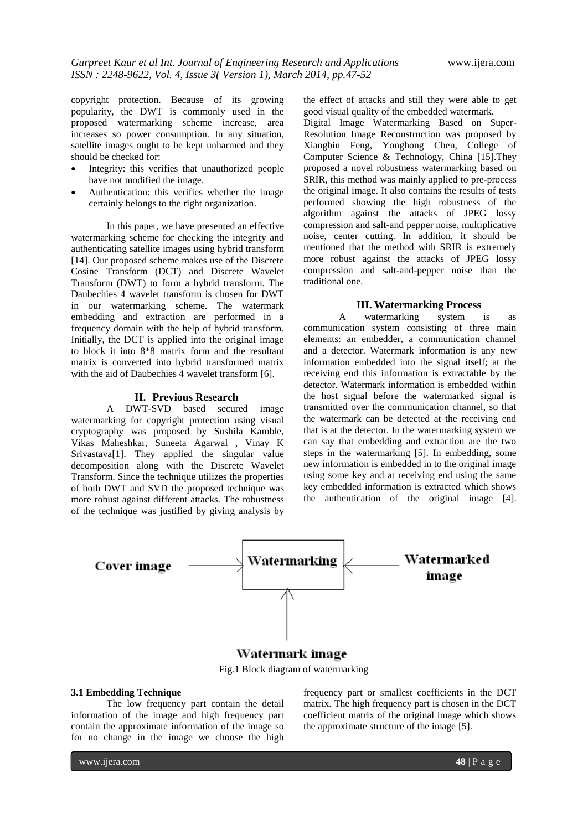copyright protection. Because of its growing popularity, the DWT is commonly used in the proposed watermarking scheme increase, area increases so power consumption. In any situation, satellite images ought to be kept unharmed and they should be checked for:

- Integrity: this verifies that unauthorized people have not modified the image.
- Authentication: this verifies whether the image certainly belongs to the right organization.

In this paper, we have presented an effective watermarking scheme for checking the integrity and authenticating satellite images using hybrid transform [14]. Our proposed scheme makes use of the Discrete Cosine Transform (DCT) and Discrete Wavelet Transform (DWT) to form a hybrid transform. The Daubechies 4 wavelet transform is chosen for DWT in our watermarking scheme. The watermark embedding and extraction are performed in a frequency domain with the help of hybrid transform. Initially, the DCT is applied into the original image to block it into 8\*8 matrix form and the resultant matrix is converted into hybrid transformed matrix with the aid of Daubechies 4 wavelet transform [6].

### **II. Previous Research**

A DWT-SVD based secured image watermarking for copyright protection using visual cryptography was proposed by Sushila Kamble, Vikas Maheshkar, Suneeta Agarwal , Vinay K Srivastava[1]. They applied the singular value decomposition along with the Discrete Wavelet Transform. Since the technique utilizes the properties of both DWT and SVD the proposed technique was more robust against different attacks. The robustness of the technique was justified by giving analysis by the effect of attacks and still they were able to get good visual quality of the embedded watermark.

Digital Image Watermarking Based on Super-Resolution Image Reconstruction was proposed by Xiangbin Feng, Yonghong Chen, College of Computer Science & Technology, China [15].They proposed a novel robustness watermarking based on SRIR, this method was mainly applied to pre-process the original image. It also contains the results of tests performed showing the high robustness of the algorithm against the attacks of JPEG lossy compression and salt-and pepper noise, multiplicative noise, center cutting. In addition, it should be mentioned that the method with SRIR is extremely more robust against the attacks of JPEG lossy compression and salt-and-pepper noise than the traditional one.

## **III. Watermarking Process**

A watermarking system is as communication system consisting of three main elements: an embedder, a communication channel and a detector. Watermark information is any new information embedded into the signal itself; at the receiving end this information is extractable by the detector. Watermark information is embedded within the host signal before the watermarked signal is transmitted over the communication channel, so that the watermark can be detected at the receiving end that is at the detector. In the watermarking system we can say that embedding and extraction are the two steps in the watermarking [5]. In embedding, some new information is embedded in to the original image using some key and at receiving end using the same key embedded information is extracted which shows the authentication of the original image [4].



# Watermark image

Fig.1 Block diagram of watermarking

## **3.1 Embedding Technique**

The low frequency part contain the detail information of the image and high frequency part contain the approximate information of the image so for no change in the image we choose the high

frequency part or smallest coefficients in the DCT matrix. The high frequency part is chosen in the DCT coefficient matrix of the original image which shows the approximate structure of the image [5].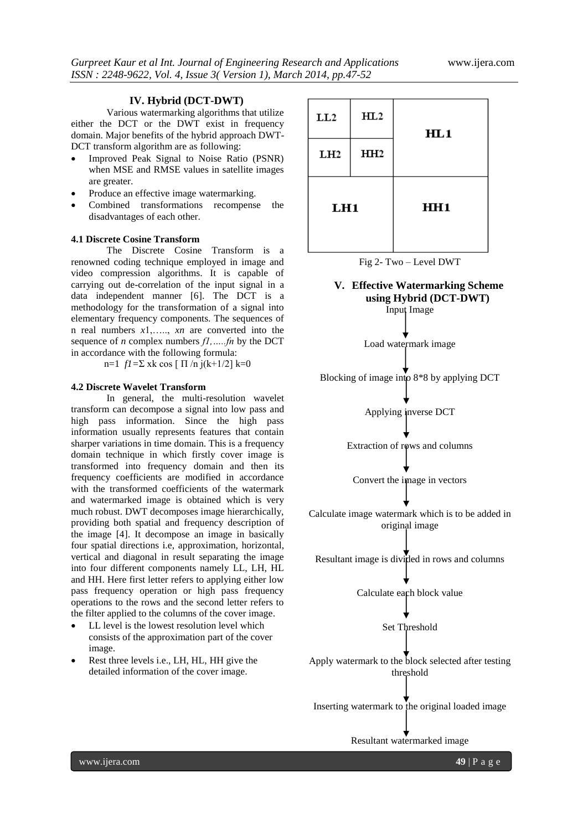## **IV. Hybrid (DCT-DWT)**

Various watermarking algorithms that utilize either the DCT or the DWT exist in frequency domain. Major benefits of the hybrid approach DWT-DCT transform algorithm are as following:

- Improved Peak Signal to Noise Ratio (PSNR) when MSE and RMSE values in satellite images are greater.
- Produce an effective image watermarking.
- Combined transformations recompense the disadvantages of each other.

#### **4.1 Discrete Cosine Transform**

The Discrete Cosine Transform is a renowned coding technique employed in image and video compression algorithms. It is capable of carrying out de-correlation of the input signal in a data independent manner [6]. The DCT is a methodology for the transformation of a signal into elementary frequency components. The sequences of n real numbers *x*1,….., *xn* are converted into the sequence of *n* complex numbers *f1,…..fn* by the DCT in accordance with the following formula:

n=1 *f1=*Σ xk cos [ Π /n j(k+1/2] k=0

#### **4.2 Discrete Wavelet Transform**

In general, the multi-resolution wavelet transform can decompose a signal into low pass and high pass information. Since the high pass information usually represents features that contain sharper variations in time domain. This is a frequency domain technique in which firstly cover image is transformed into frequency domain and then its frequency coefficients are modified in accordance with the transformed coefficients of the watermark and watermarked image is obtained which is very much robust. DWT decomposes image hierarchically, providing both spatial and frequency description of the image [4]. It decompose an image in basically four spatial directions i.e, approximation, horizontal, vertical and diagonal in result separating the image into four different components namely LL, LH, HL and HH. Here first letter refers to applying either low pass frequency operation or high pass frequency operations to the rows and the second letter refers to the filter applied to the columns of the cover image.

- LL level is the lowest resolution level which consists of the approximation part of the cover image.
- Rest three levels i.e., LH, HL, HH give the detailed information of the cover image.

| LL2 | HL2             | HL1             |  |
|-----|-----------------|-----------------|--|
| LH2 | HH <sub>2</sub> |                 |  |
| LH1 |                 | HH <sub>1</sub> |  |



## **V. Effective Watermarking Scheme using Hybrid (DCT-DWT)**

Input Image

Load watermark image

Blocking of image into 8\*8 by applying DCT

Applying inverse DCT

Extraction of rows and columns

Convert the image in vectors

Calculate image watermark which is to be added in original image

Resultant image is divided in rows and columns

Calculate each block value

Set Threshold

Apply watermark to the block selected after testing threshold

Inserting watermark to the original loaded image

Resultant watermarked image

www.ijera.com **49** | P a g e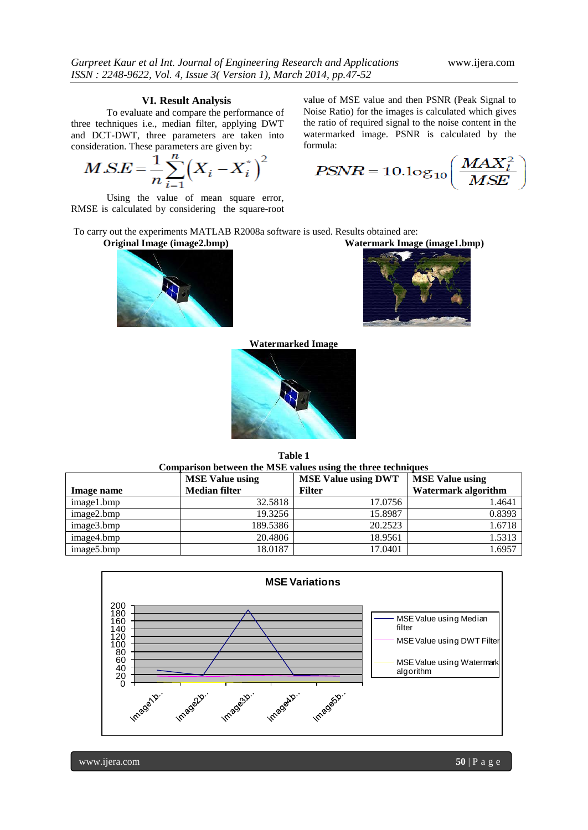## **VI. Result Analysis**

To evaluate and compare the performance of three techniques i.e., median filter, applying DWT and DCT-DWT, three parameters are taken into consideration. These parameters are given by:

$$
MSE = \frac{1}{n} \sum_{i=1}^{n} (X_i - X_i^*)^2
$$

Using the value of mean square error, RMSE is calculated by considering the square-root value of MSE value and then PSNR (Peak Signal to Noise Ratio) for the images is calculated which gives the ratio of required signal to the noise content in the watermarked image. PSNR is calculated by the formula:

 $\small{PSNR=10.log_{10}\left(\frac{MAX_l^2}{MSE}\right)}$ 

To carry out the experiments MATLAB R2008a software is used. Results obtained are:

**Original Image (image2.bmp) Watermark Image (image1.bmp)**





**Watermarked Image**



**Table 1 Comparison between the MSE values using the three techniques** 

|            | <b>MSE Value using</b> | <b>MSE Value using DWT</b> | <b>MSE Value using</b>     |
|------------|------------------------|----------------------------|----------------------------|
| Image name | <b>Median filter</b>   | <b>Filter</b>              | <b>Watermark algorithm</b> |
| image1.bmp | 32.5818                | 17.0756                    | 1.4641                     |
| image2.bmp | 19.3256                | 15.8987                    | 0.8393                     |
| image3.bmp | 189.5386               | 20.2523                    | 1.6718                     |
| image4.bmp | 20.4806                | 18.9561                    | 1.5313                     |
| image5.bmp | 18.0187                | 17.0401                    | 1.6957                     |

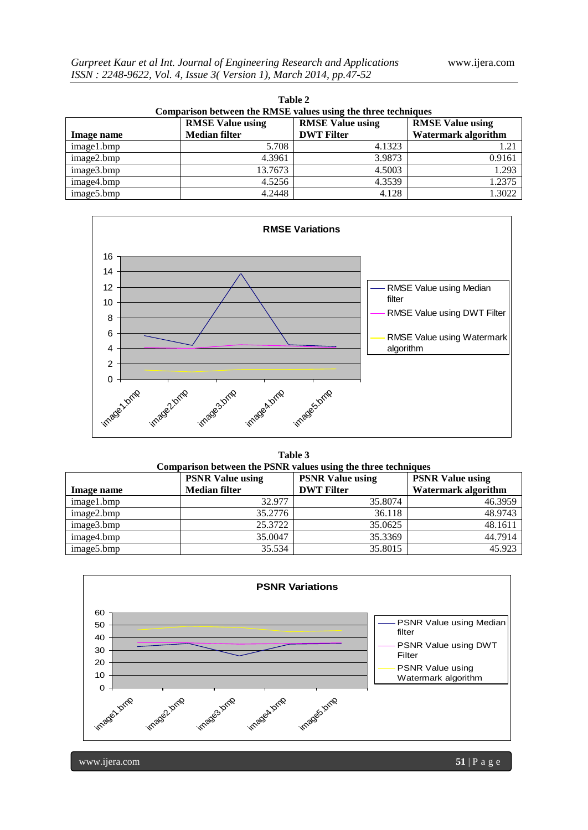| Table 2<br>Comparison between the RMSE values using the three techniques |                                                 |                                              |                                                       |  |  |  |
|--------------------------------------------------------------------------|-------------------------------------------------|----------------------------------------------|-------------------------------------------------------|--|--|--|
| Image name                                                               | <b>RMSE Value using</b><br><b>Median filter</b> | <b>RMSE Value using</b><br><b>DWT</b> Filter | <b>RMSE Value using</b><br><b>Watermark algorithm</b> |  |  |  |
| image1.bmp                                                               | 5.708                                           | 4.1323                                       | 1.21                                                  |  |  |  |
| image2.bmp                                                               | 4.3961                                          | 3.9873                                       | 0.9161                                                |  |  |  |
| image3.bmp                                                               | 13.7673                                         | 4.5003                                       | 1.293                                                 |  |  |  |
| image4.bmp                                                               | 4.5256                                          | 4.3539                                       | 1.2375                                                |  |  |  |
| image5.bmp                                                               | 4.2448                                          | 4.128                                        | 1.3022                                                |  |  |  |





**Table 3 Comparison between the PSNR values using the three techniques** 

|            | <b>PSNR Value using</b> | <b>PSNR Value using</b> | <b>PSNR Value using</b>    |
|------------|-------------------------|-------------------------|----------------------------|
| Image name | <b>Median filter</b>    | <b>DWT Filter</b>       | <b>Watermark algorithm</b> |
| image1.bmp | 32.977                  | 35.8074                 | 46.3959                    |
| image2.bmp | 35.2776                 | 36.118                  | 48.9743                    |
| image3.bmp | 25.3722                 | 35.0625                 | 48.1611                    |
| image4.bmp | 35.0047                 | 35.3369                 | 44.7914                    |
| image5.bmp | 35.534                  | 35.8015                 | 45.923                     |



www.ijera.com **51** | P a g e